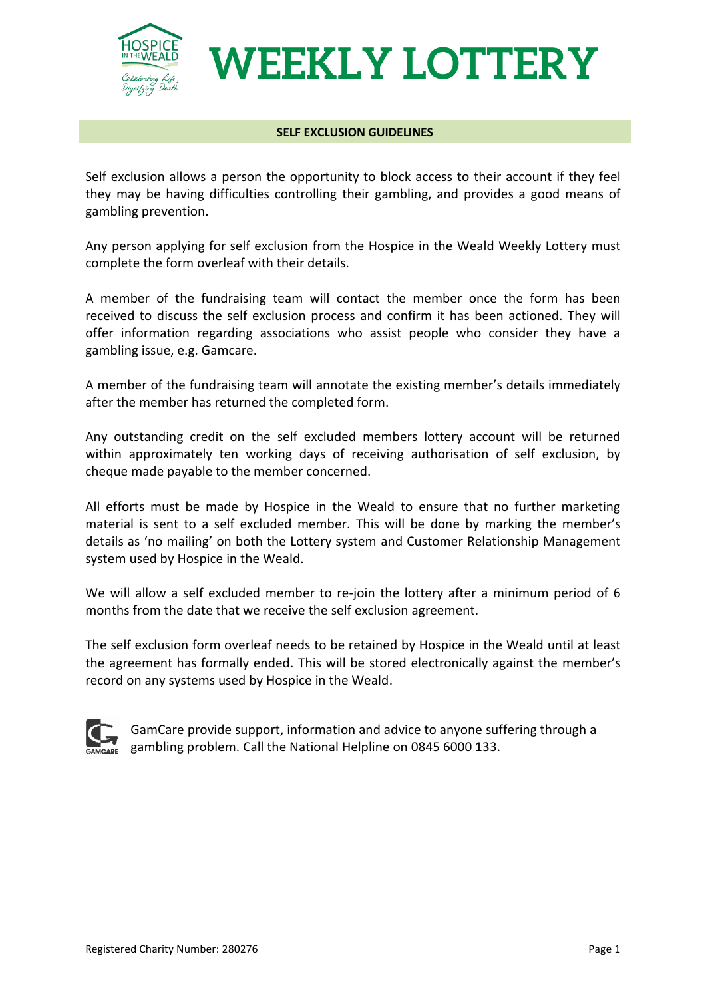

## **WEEKLY LOTTERY**

## **SELF EXCLUSION GUIDELINES**

Self exclusion allows a person the opportunity to block access to their account if they feel they may be having difficulties controlling their gambling, and provides a good means of gambling prevention.

Any person applying for self exclusion from the Hospice in the Weald Weekly Lottery must complete the form overleaf with their details.

A member of the fundraising team will contact the member once the form has been received to discuss the self exclusion process and confirm it has been actioned. They will offer information regarding associations who assist people who consider they have a gambling issue, e.g. Gamcare.

A member of the fundraising team will annotate the existing member's details immediately after the member has returned the completed form.

Any outstanding credit on the self excluded members lottery account will be returned within approximately ten working days of receiving authorisation of self exclusion, by cheque made payable to the member concerned.

All efforts must be made by Hospice in the Weald to ensure that no further marketing material is sent to a self excluded member. This will be done by marking the member's details as 'no mailing' on both the Lottery system and Customer Relationship Management system used by Hospice in the Weald.

We will allow a self excluded member to re-join the lottery after a minimum period of 6 months from the date that we receive the self exclusion agreement.

The self exclusion form overleaf needs to be retained by Hospice in the Weald until at least the agreement has formally ended. This will be stored electronically against the member's record on any systems used by Hospice in the Weald.



GamCare provide support, information and advice to anyone suffering through a gambling problem. Call the National Helpline on 0845 6000 133.